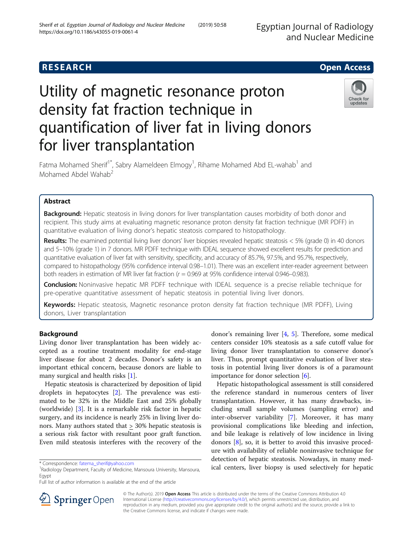

# Utility of magnetic resonance proton density fat fraction technique in quantification of liver fat in living donors for liver transplantation



Fatma Mohamed Sherif<sup>1\*</sup>, Sabry Alameldeen Elmogy<sup>1</sup>, Rihame Mohamed Abd EL-wahab<sup>1</sup> and Mohamed Abdel Wahab<sup>2</sup>

# Abstract

**Background:** Hepatic steatosis in living donors for liver transplantation causes morbidity of both donor and recipient. This study aims at evaluating magnetic resonance proton density fat fraction technique (MR PDFF) in quantitative evaluation of living donor's hepatic steatosis compared to histopathology.

Results: The examined potential living liver donors' liver biopsies revealed hepatic steatosis < 5% (grade 0) in 40 donors and 5–10% (grade 1) in 7 donors. MR PDFF technique with IDEAL sequence showed excellent results for prediction and quantitative evaluation of liver fat with sensitivity, specificity, and accuracy of 85.7%, 97.5%, and 95.7%, respectively, compared to histopathology (95% confidence interval 0.98–1.01). There was an excellent inter-reader agreement between both readers in estimation of MR liver fat fraction ( $r = 0.969$  at 95% confidence interval 0.946–0.983).

Conclusion: Noninvasive hepatic MR PDFF technique with IDEAL sequence is a precise reliable technique for pre-operative quantitative assessment of hepatic steatosis in potential living liver donors.

Keywords: Hepatic steatosis, Magnetic resonance proton density fat fraction technique (MR PDFF), Living donors, Liver transplantation

# Background

Living donor liver transplantation has been widely accepted as a routine treatment modality for end-stage liver disease for about 2 decades. Donor's safety is an important ethical concern, because donors are liable to many surgical and health risks [\[1](#page-4-0)].

Hepatic steatosis is characterized by deposition of lipid droplets in hepatocytes [[2\]](#page-4-0). The prevalence was estimated to be 32% in the Middle East and 25% globally (worldwide) [\[3](#page-4-0)]. It is a remarkable risk factor in hepatic surgery, and its incidence is nearly 25% in living liver donors. Many authors stated that > 30% hepatic steatosis is a serious risk factor with resultant poor graft function. Even mild steatosis interferes with the recovery of the

Full list of author information is available at the end of the article

donor's remaining liver [\[4](#page-4-0), [5](#page-4-0)]. Therefore, some medical centers consider 10% steatosis as a safe cutoff value for living donor liver transplantation to conserve donor's liver. Thus, prompt quantitative evaluation of liver steatosis in potential living liver donors is of a paramount importance for donor selection [\[6](#page-4-0)].

Hepatic histopathological assessment is still considered the reference standard in numerous centers of liver transplantation. However, it has many drawbacks, including small sample volumes (sampling error) and inter-observer variability [\[7](#page-4-0)]. Moreover, it has many provisional complications like bleeding and infection, and bile leakage is relatively of low incidence in living donors [[8\]](#page-4-0), so, it is better to avoid this invasive procedure with availability of reliable noninvasive technique for detection of hepatic steatosis. Nowadays, in many medical centers, liver biopsy is used selectively for hepatic



© The Author(s). 2019 Open Access This article is distributed under the terms of the Creative Commons Attribution 4.0 International License ([http://creativecommons.org/licenses/by/4.0/\)](http://creativecommons.org/licenses/by/4.0/), which permits unrestricted use, distribution, and reproduction in any medium, provided you give appropriate credit to the original author(s) and the source, provide a link to the Creative Commons license, and indicate if changes were made.

<sup>\*</sup> Correspondence: [fatema\\_sherif@yahoo.com](mailto:fatema_sherif@yahoo.com) <sup>1</sup>

Radiology Department, Faculty of Medicine, Mansoura University, Mansoura, Egypt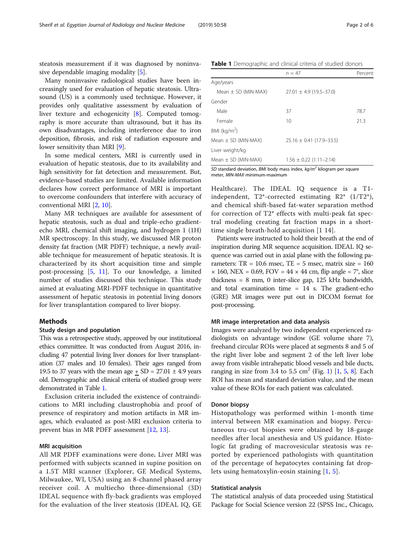<span id="page-1-0"></span>steatosis measurement if it was diagnosed by noninvasive dependable imaging modality [\[5](#page-4-0)].

Many noninvasive radiological studies have been increasingly used for evaluation of hepatic steatosis. Ultrasound (US) is a commonly used technique. However, it provides only qualitative assessment by evaluation of liver texture and echogenicity [[8\]](#page-4-0). Computed tomography is more accurate than ultrasound, but it has its own disadvantages, including interference due to iron deposition, fibrosis, and risk of radiation exposure and lower sensitivity than MRI [\[9](#page-4-0)].

In some medical centers, MRI is currently used in evaluation of hepatic steatosis, due to its availability and high sensitivity for fat detection and measurement. But, evidence-based studies are limited. Available information declares how correct performance of MRI is important to overcome confounders that interfere with accuracy of conventional MRI [[2,](#page-4-0) [10](#page-4-0)].

Many MR techniques are available for assessment of hepatic steatosis, such as dual and triple-echo gradientecho MRI, chemical shift imaging, and hydrogen 1 (1H) MR spectroscopy. In this study, we discussed MR proton density fat fraction (MR PDFF) technique, a newly available technique for measurement of hepatic steatosis. It is characterized by its short acquisition time and simple post-processing [\[5](#page-4-0), [11](#page-5-0)]. To our knowledge, a limited number of studies discussed this technique. This study aimed at evaluating MRI-PDFF technique in quantitative assessment of hepatic steatosis in potential living donors for liver transplantation compared to liver biopsy.

# Methods

# Study design and population

This was a retrospective study, approved by our institutional ethics committee. It was conducted from August 2016, including 47 potential living liver donors for liver transplantation (37 males and 10 females). Their ages ranged from 19.5 to 37 years with the mean age  $+$  SD = 27.01  $\pm$  4.9 years old. Demographic and clinical criteria of studied group were demonstrated in Table 1.

Exclusion criteria included the existence of contraindications to MRI including claustrophobia and proof of presence of respiratory and motion artifacts in MR images, which evaluated as post-MRI exclusion criteria to prevent bias in MR PDFF assessment [\[12](#page-5-0), [13\]](#page-5-0).

# MRI acquisition

All MR PDFF examinations were done. Liver MRI was performed with subjects scanned in supine position on a 1.5T MRI scanner (Explorer, GE Medical Systems, Milwaukee, WI, USA) using an 8-channel phased array receiver coil. A multiecho three-dimensional (3D) IDEAL sequence with fly-back gradients was employed for the evaluation of the liver steatosis (IDEAL IQ, GE Table 1 Demographic and clinical criteria of studied donors

|                         | $n = 47$                     | Percent |
|-------------------------|------------------------------|---------|
| Age/years               |                              |         |
| Mean $\pm$ SD (MIN-MAX) | $27.01 \pm 4.9$ (19.5-37.0)  |         |
| Gender                  |                              |         |
| Male                    | 37                           | 78.7    |
| Female                  | 10                           | 21.3    |
| BMI ( $kg/m2$ )         |                              |         |
| Mean $\pm$ SD (MIN-MAX) | $25.16 \pm 0.41$ (17.9–33.5) |         |
| Liver weight/kg         |                              |         |
| Mean $\pm$ SD (MIN-MAX) | $1.56 \pm 0.22$ (1.11–2.14)  |         |

SD standard deviation, BMI body mass index,  $kg/m^2$  kilogram per square meter, MIN-MAX minimum-maximum

Healthcare). The IDEAL IQ sequence is a T1 independent, T2\*-corrected estimating R2\* (1/T2\*), and chemical shift-based fat-water separation method for correction of T2\* effects with multi-peak fat spectral modeling creating fat fraction maps in a shorttime single breath-hold acquisition [1 14].

Patients were instructed to hold their breath at the end of inspiration during MR sequence acquisition. IDEAL IQ sequence was carried out in axial plane with the following parameters:  $TR = 10.6$  msec,  $TE = 5$  msec, matrix size = 160  $\times$  160, NEX = 0.69, FOV = 44  $\times$  44 cm, flip angle = 7°, slice thickness = 8 mm, 0 inter-slice gap, 125 kHz bandwidth, and total examination time  $= 14$  s. The gradient-echo (GRE) MR images were put out in DICOM format for post-processing.

# MR image interpretation and data analysis

Images were analyzed by two independent experienced radiologists on advantage window (GE volume share 7), freehand circular ROIs were placed at segments 8 and 5 of the right liver lobe and segment 2 of the left liver lobe away from visible intrahepatic blood vessels and bile ducts, ranging in size from 3.4 to 5.5 cm<sup>2</sup> (Fig. [1](#page-4-0))  $\left[1, 5, 8\right]$  $\left[1, 5, 8\right]$  $\left[1, 5, 8\right]$ . Each ROI has mean and standard deviation value, and the mean value of these ROIs for each patient was calculated.

#### Donor biopsy

Histopathology was performed within 1-month time interval between MR examination and biopsy. Percutaneous tru-cut biopsies were obtained by 18-gauge needles after local anesthesia and US guidance. Histologic fat grading of macrovesicular steatosis was reported by experienced pathologists with quantitation of the percentage of hepatocytes containing fat droplets using hematoxylin-eosin staining [[1](#page-4-0), [5\]](#page-4-0).

#### Statistical analysis

The statistical analysis of data proceeded using Statistical Package for Social Science version 22 (SPSS Inc., Chicago,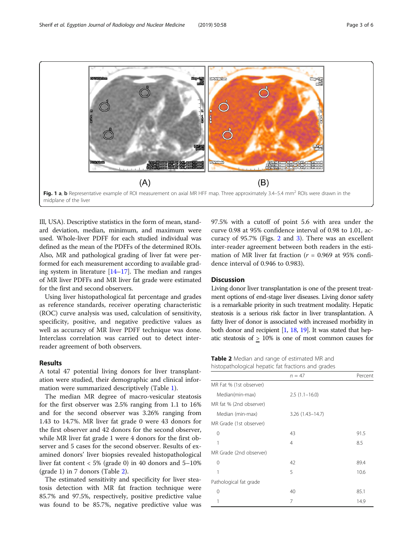<span id="page-2-0"></span>

Ill, USA). Descriptive statistics in the form of mean, standard deviation, median, minimum, and maximum were used. Whole-liver PDFF for each studied individual was defined as the mean of the PDFFs of the determined ROIs. Also, MR and pathological grading of liver fat were performed for each measurement according to available grading system in literature [[14](#page-5-0)–[17\]](#page-5-0). The median and ranges of MR liver PDFFs and MR liver fat grade were estimated for the first and second observers.

Using liver histopathological fat percentage and grades as reference standards, receiver operating characteristic (ROC) curve analysis was used, calculation of sensitivity, specificity, positive, and negative predictive values as well as accuracy of MR liver PDFF technique was done. Interclass correlation was carried out to detect interreader agreement of both observers.

# Results

A total 47 potential living donors for liver transplantation were studied, their demographic and clinical information were summarized descriptively (Table [1](#page-1-0)).

The median MR degree of macro-vesicular steatosis for the first observer was 2.5% ranging from 1.1 to 16% and for the second observer was 3.26% ranging from 1.43 to 14.7%. MR liver fat grade 0 were 43 donors for the first observer and 42 donors for the second observer, while MR liver fat grade 1 were 4 donors for the first observer and 5 cases for the second observer. Results of examined donors' liver biopsies revealed histopathological liver fat content  $< 5\%$  (grade 0) in 40 donors and  $5{\text -}10\%$ (grade 1) in 7 donors (Table 2).

The estimated sensitivity and specificity for liver steatosis detection with MR fat fraction technique were 85.7% and 97.5%, respectively, positive predictive value was found to be 85.7%, negative predictive value was 97.5% with a cutoff of point 5.6 with area under the curve 0.98 at 95% confidence interval of 0.98 to 1.01, accuracy of 95.7% (Figs. [2](#page-3-0) and [3\)](#page-3-0). There was an excellent inter-reader agreement between both readers in the estimation of MR liver fat fraction ( $r = 0.969$  at 95% confidence interval of 0.946 to 0.983).

# **Discussion**

Living donor liver transplantation is one of the present treatment options of end-stage liver diseases. Living donor safety is a remarkable priority in such treatment modality. Hepatic steatosis is a serious risk factor in liver transplantation. A fatty liver of donor is associated with increased morbidity in both donor and recipient  $[1, 18, 19]$  $[1, 18, 19]$  $[1, 18, 19]$  $[1, 18, 19]$  $[1, 18, 19]$  $[1, 18, 19]$ . It was stated that hepatic steatosis of > 10% is one of most common causes for

Table 2 Median and range of estimated MR and histopathological hepatic fat fractions and grades

|                         | $n = 47$            | Percent |
|-------------------------|---------------------|---------|
| MR Fat % (1st observer) |                     |         |
| Median(min-max)         | $2.5(1.1-16.0)$     |         |
| MR fat % (2nd observer) |                     |         |
| Median (min-max)        | $3.26(1.43 - 14.7)$ |         |
| MR Grade (1st observer) |                     |         |
| 0                       | 43                  | 91.5    |
| 1                       | 4                   | 8.5     |
| MR Grade (2nd observer) |                     |         |
| 0                       | 42                  | 89.4    |
| 1                       | 5                   | 10.6    |
| Pathological fat grade  |                     |         |
| 0                       | 40                  | 85.1    |
|                         | 7                   | 14.9    |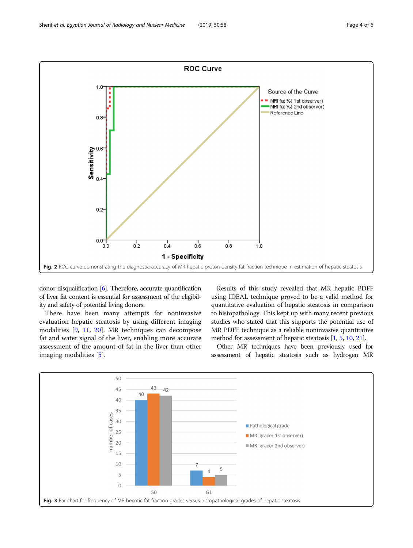<span id="page-3-0"></span>

donor disqualification [\[6](#page-4-0)]. Therefore, accurate quantification of liver fat content is essential for assessment of the eligibility and safety of potential living donors.

There have been many attempts for noninvasive evaluation hepatic steatosis by using different imaging modalities [\[9](#page-4-0), [11](#page-5-0), [20\]](#page-5-0). MR techniques can decompose fat and water signal of the liver, enabling more accurate assessment of the amount of fat in the liver than other imaging modalities [[5\]](#page-4-0).

Results of this study revealed that MR hepatic PDFF using IDEAL technique proved to be a valid method for quantitative evaluation of hepatic steatosis in comparison to histopathology. This kept up with many recent previous studies who stated that this supports the potential use of MR PDFF technique as a reliable noninvasive quantitative method for assessment of hepatic steatosis [\[1,](#page-4-0) [5](#page-4-0), [10,](#page-4-0) [21](#page-5-0)].

Other MR techniques have been previously used for assessment of hepatic steatosis such as hydrogen MR

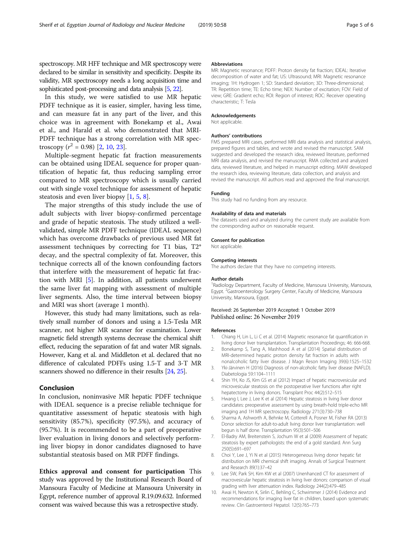<span id="page-4-0"></span>spectroscopy. MR HFF technique and MR spectroscopy were declared to be similar in sensitivity and specificity. Despite its validity, MR spectroscopy needs a long acquisition time and sophisticated post-processing and data analysis [5, [22\]](#page-5-0).

In this study, we were satisfied to use MR hepatic PDFF technique as it is easier, simpler, having less time, and can measure fat in any part of the liver, and this choice was in agreement with Bonekamp et al., Awai et al., and Harald et al. who demonstrated that MRI-PDFF technique has a strong correlation with MR spectroscopy  $(r^2 = 0.98)$  [2, 10, [23\]](#page-5-0).

Multiple-segment hepatic fat fraction measurements can be obtained using IDEAL sequence for proper quantification of hepatic fat, thus reducing sampling error compared to MR spectroscopy which is usually carried out with single voxel technique for assessment of hepatic steatosis and even liver biopsy [1, 5, 8].

The major strengths of this study include the use of adult subjects with liver biopsy-confirmed percentage and grade of hepatic steatosis. The study utilized a wellvalidated, simple MR PDFF technique (IDEAL sequence) which has overcome drawbacks of previous used MR fat assessment techniques by correcting for T1 bias, T2\* decay, and the spectral complexity of fat. Moreover, this technique corrects all of the known confounding factors that interfere with the measurement of hepatic fat fraction with MRI [5]. In addition, all patients underwent the same liver fat mapping with assessment of multiple liver segments. Also, the time interval between biopsy and MRI was short (average 1 month).

However, this study had many limitations, such as relatively small number of donors and using a 1.5-Tesla MR scanner, not higher MR scanner for examination. Lower magnetic field strength systems decrease the chemical shift effect, reducing the separation of fat and water MR signals. However, Kang et al. and Middleton et al. declared that no difference of calculated PDFFs using 1.5-T and 3-T MR scanners showed no difference in their results [\[24,](#page-5-0) [25\]](#page-5-0).

# Conclusion

In conclusion, noninvasive MR hepatic PDFF technique with IDEAL sequence is a precise reliable technique for quantitative assessment of hepatic steatosis with high sensitivity (85.7%), specificity (97.5%), and accuracy of (95.7%). It is recommended to be a part of preoperative liver evaluation in living donors and selectively performing liver biopsy in donor candidates diagnosed to have substantial steatosis based on MR PDFF findings.

Ethics approval and consent for participation This study was approved by the Institutional Research Board of Mansoura Faculty of Medicine at Mansoura University in Egypt, reference number of approval R.19.09.632. Informed consent was waived because this was a retrospective study.

#### Abbreviations

MR: Magnetic resonance; PDFF: Proton density fat fraction; IDEAL: Iterative decomposition of water and fat; US: Ultrasound; MRI: Magnetic resonance imaging; 1H: Hydrogen 1; SD: Standard deviation; 3D: Three-dimensional; TR: Repetition time; TE: Echo time; NEX: Number of excitation; FOV: Field of view; GRE: Gradient echo; ROI: Region of interest; ROC: Receiver operating characteristic; T: Tesla

#### Acknowledgements

Not applicable.

#### Authors' contributions

FMS prepared MRI cases, performed MRI data analysis and statistical analysis, prepared figures and tables, and wrote and revised the manuscript. SAM suggested and developed the research idea, reviewed literature, performed MRI data analysis, and revised the manuscript. RMA collected and analyzed data, reviewed literature, and helped in manuscript editing. MAW developed the research idea, reviewing literature, data collection, and analysis and revised the manuscript. All authors read and approved the final manuscript.

#### Funding

This study had no funding from any resource.

#### Availability of data and materials

The datasets used and analyzed during the current study are available from the corresponding author on reasonable request.

#### Consent for publication

Not applicable.

#### Competing interests

The authors declare that they have no competing interests.

#### Author details

<sup>1</sup> Radiology Department, Faculty of Medicine, Mansoura University, Mansoura, Egypt. <sup>2</sup>Gastroenterology Surgery Center, Faculty of Medicine, Mansoura University, Mansoura, Egypt.

### Received: 26 September 2019 Accepted: 1 October 2019 Published online: 26 November 2019

#### References

- 1. Chiang H, Lin L, Li C et al. (2014) Magnetic resonance fat quantification in living donor liver transplantation. Transplantation Proceedings; 46: 666-668.
- 2. Bonekamp S, Tang A, Mashhood A et al (2014) Spatial distribution of MRI-determined hepatic proton density fat fraction in adults with nonalcoholic fatty liver disease. J Magn Reson Imaging 39(6):1525–1532
- 3. Yki-Järvinen H (2016) Diagnosis of non-alcoholic fatty liver disease (NAFLD). Diabetologia 59:1104–1111
- 4. Shin YH, Ko JS, Kim GS et al (2012) Impact of hepatic macrovesicular and microvesicular steatosis on the postoperative liver functions after right hepatectomy in living donors. Transplant Proc 44(2):512–515
- 5. Hwang I, Lee J, Lee K et al (2014) Hepatic steatosis in living liver donor candidates: preoperative assessment by using breath-hold triple-echo MR imaging and 1H MR spectroscopy. Radiology 271(3):730–738
- 6. Sharma A, Ashworth A, Behnke M, Cotterell A, Posner M, Fisher RA (2013) Donor selection for adult-to-adult living donor liver transplantation: well begun is half done. Transplantation 95(3):501–506
- 7. El-Badry AM, Breitenstein S, Jochum W et al (2009) Assessment of hepatic steatosis by expert pathologists: the end of a gold standard. Ann Surg 250(5):691–697
- 8. Choi Y, Lee J, Yi N et al (2015) Heterogeneous living donor hepatic fat distribution on MRI chemical shift imaging. Annals of Surgical Treatment and Research 89(1):37–42
- 9. Lee SW, Park SH, Kim KW et al (2007) Unenhanced CT for assessment of macrovesicular hepatic steatosis in living liver donors: comparison of visual grading with liver attenuation index. Radiology 244(2):479–485
- 10. Awai H, Newton K, Sirlin C, Behling C, Schwimmer J (2014) Evidence and recommendations for imaging liver fat in children, based upon systematic review. Clin Gastroenterol Hepatol. 12(5):765–773